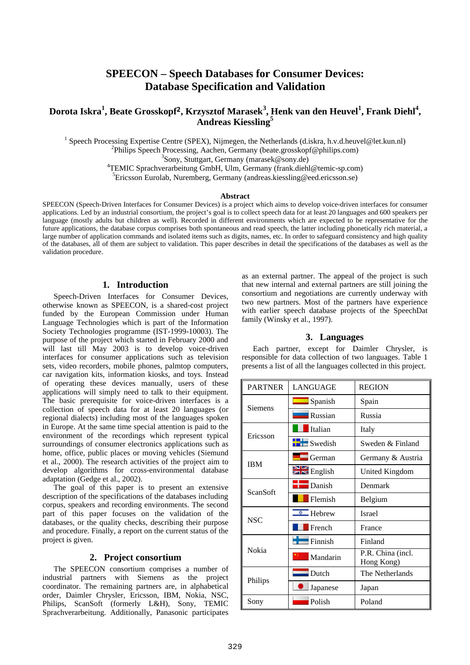# **SPEECON – Speech Databases for Consumer Devices: Database Specification and Validation**

# **Dorota Iskra<sup>1</sup> , Beate Grosskopf2, Krzysztof Marasek<sup>3</sup> , Henk van den Heuvel<sup>1</sup> , Frank Diehl<sup>4</sup> , Andreas Kiessling<sup>5</sup>**

<sup>1</sup> Speech Processing Expertise Centre (SPEX), Nijmegen, the Netherlands (d.iskra, h.v.d.heuvel@let.kun.nl)

<sup>2</sup>Philips Speech Processing, Aachen, Germany (beate.grosskopf@philips.com)

3 Sony, Stuttgart, Germany (marasek@sony.de)

<sup>4</sup>TEMIC Sprachverarbeitung GmbH, Ulm, Germany (frank.diehl@temic-sp.com)

<sup>5</sup>Ericsson Eurolab, Nuremberg, Germany (andreas.kiessling@eed.ericsson.se)

## **Abstract**

SPEECON (Speech-Driven Interfaces for Consumer Devices) is a project which aims to develop voice-driven interfaces for consumer applications. Led by an industrial consortium, the project's goal is to collect speech data for at least 20 languages and 600 speakers per language (mostly adults but children as well). Recorded in different environments which are expected to be representative for the future applications, the database corpus comprises both spontaneous and read speech, the latter including phonetically rich material, a large number of application commands and isolated items such as digits, names, etc. In order to safeguard consistency and high quality of the databases, all of them are subject to validation. This paper describes in detail the specifications of the databases as well as the validation procedure.

# **1. Introduction**

Speech-Driven Interfaces for Consumer Devices, otherwise known as SPEECON, is a shared-cost project funded by the European Commission under Human Language Technologies which is part of the Information Society Technologies programme (IST-1999-10003). The purpose of the project which started in February 2000 and will last till May 2003 is to develop voice-driven interfaces for consumer applications such as television sets, video recorders, mobile phones, palmtop computers, car navigation kits, information kiosks, and toys. Instead of operating these devices manually, users of these applications will simply need to talk to their equipment. The basic prerequisite for voice-driven interfaces is a collection of speech data for at least 20 languages (or regional dialects) including most of the languages spoken in Europe. At the same time special attention is paid to the environment of the recordings which represent typical surroundings of consumer electronics applications such as home, office, public places or moving vehicles (Siemund et al., 2000). The research activities of the project aim to develop algorithms for cross-environmental database adaptation (Gedge et al., 2002).

The goal of this paper is to present an extensive description of the specifications of the databases including corpus, speakers and recording environments. The second part of this paper focuses on the validation of the databases, or the quality checks, describing their purpose and procedure. Finally, a report on the current status of the project is given.

## **2. Project consortium**

The SPEECON consortium comprises a number of industrial partners with Siemens as the project coordinator. The remaining partners are, in alphabetical order, Daimler Chrysler, Ericsson, IBM, Nokia, NSC, Philips, ScanSoft (formerly L&H), Sony, TEMIC Sprachverarbeitung. Additionally, Panasonic participates

as an external partner. The appeal of the project is such that new internal and external partners are still joining the consortium and negotiations are currently underway with two new partners. Most of the partners have experience with earlier speech database projects of the SpeechDat family (Winsky et al., 1997).

## **3. Languages**

Each partner, except for Daimler Chrysler, is responsible for data collection of two languages. Table 1 presents a list of all the languages collected in this project.

| <b>PARTNER</b> | <b>LANGUAGE</b>      | <b>REGION</b>                   |
|----------------|----------------------|---------------------------------|
| Siemens        | $\sum$ Spanish       | Spain                           |
|                | <b>Russian</b>       | Russia                          |
| Ericsson       | Italian              | Italy                           |
|                | <b>Swedish</b>       | Sweden & Finland                |
| <b>IBM</b>     | $\Box$ German        | Germany & Austria               |
|                | $\geq$ English       | United Kingdom                  |
| ScanSoft       | $\Box$ Danish        | Denmark                         |
|                | Flemish              | Belgium                         |
| <b>NSC</b>     | ø<br>$\equiv$ Hebrew | <b>Israel</b>                   |
|                | French               | France                          |
|                | Finnish              | Finland                         |
| Nokia          | Mandarin             | P.R. China (incl.<br>Hong Kong) |
| Philips        | Dutch                | The Netherlands                 |
|                | Japanese             | Japan                           |
| Sony           | Polish               | Poland                          |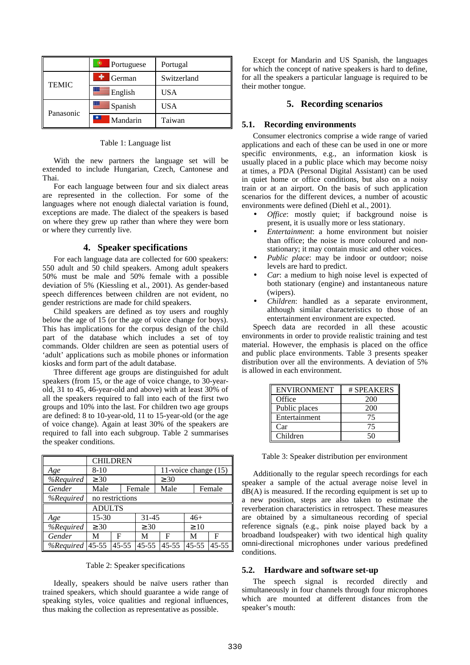|              | Portuguese       | Portugal    |
|--------------|------------------|-------------|
| <b>TEMIC</b> | German           | Switzerland |
|              | $\equiv$ English | <b>USA</b>  |
| Panasonic    | $\equiv$ Spanish | <b>USA</b>  |
|              | Mandarin         | Taiwan      |

Table 1: Language list

With the new partners the language set will be extended to include Hungarian, Czech, Cantonese and Thai.

For each language between four and six dialect areas are represented in the collection. For some of the languages where not enough dialectal variation is found, exceptions are made. The dialect of the speakers is based on where they grew up rather than where they were born or where they currently live.

# **4. Speaker specifications**

For each language data are collected for 600 speakers: 550 adult and 50 child speakers. Among adult speakers 50% must be male and 50% female with a possible deviation of 5% (Kiessling et al., 2001). As gender-based speech differences between children are not evident, no gender restrictions are made for child speakers.

Child speakers are defined as toy users and roughly below the age of 15 (or the age of voice change for boys). This has implications for the corpus design of the child part of the database which includes a set of toy commands. Older children are seen as potential users of 'adult' applications such as mobile phones or information kiosks and form part of the adult database.

Three different age groups are distinguished for adult speakers (from 15, or the age of voice change, to 30-yearold, 31 to 45, 46-year-old and above) with at least 30% of all the speakers required to fall into each of the first two groups and 10% into the last. For children two age groups are defined: 8 to 10-year-old, 11 to 15-year-old (or the age of voice change). Again at least 30% of the speakers are required to fall into each subgroup. Table 2 summarises the speaker conditions.

|           | <b>CHILDREN</b> |           |           |                      |           |           |
|-----------|-----------------|-----------|-----------|----------------------|-----------|-----------|
| Age       | $8 - 10$        |           |           | 11-voice change (15) |           |           |
| %Required | $\geq 30$       |           |           | $\geq 30$            |           |           |
| Gender    | Male            |           | Female    | Male                 |           | Female    |
| %Required | no restrictions |           |           |                      |           |           |
|           | <b>ADULTS</b>   |           |           |                      |           |           |
| Age       | $15 - 30$       |           | $31 - 45$ |                      | $46+$     |           |
| %Required | $\geq 30$       |           | $\geq 30$ |                      | $\geq 10$ |           |
| Gender    | М               | F         | M         | F                    | М         | F         |
| %Required | $45 - 55$       | $45 - 55$ | $45 - 55$ | $45 - 55$            | $45 - 55$ | $45 - 55$ |

Table 2: Speaker specifications

Ideally, speakers should be naïve users rather than trained speakers, which should guarantee a wide range of speaking styles, voice qualities and regional influences, thus making the collection as representative as possible.

Except for Mandarin and US Spanish, the languages for which the concept of native speakers is hard to define, for all the speakers a particular language is required to be their mother tongue.

## **5. Recording scenarios**

#### **5.1. Recording environments**

Consumer electronics comprise a wide range of varied applications and each of these can be used in one or more specific environments, e.g., an information kiosk is usually placed in a public place which may become noisy at times, a PDA (Personal Digital Assistant) can be used in quiet home or office conditions, but also on a noisy train or at an airport. On the basis of such application scenarios for the different devices, a number of acoustic environments were defined (Diehl et al., 2001).

- *Office*: mostly quiet; if background noise is present, it is usually more or less stationary.
- *Entertainment*: a home environment but noisier than office; the noise is more coloured and nonstationary; it may contain music and other voices.
- *Public place*: may be indoor or outdoor; noise levels are hard to predict.
- *Car*: a medium to high noise level is expected of both stationary (engine) and instantaneous nature (wipers).
- *Children*: handled as a separate environment, although similar characteristics to those of an entertainment environment are expected.

Speech data are recorded in all these acoustic environments in order to provide realistic training and test material. However, the emphasis is placed on the office and public place environments. Table 3 presents speaker distribution over all the environments. A deviation of 5% is allowed in each environment.

| <b>ENVIRONMENT</b> | # SPEAKERS |
|--------------------|------------|
| Office             | 200        |
| Public places      | 200        |
| Entertainment      | 75         |
| Car                | 75         |
| Children           | 50         |

Table 3: Speaker distribution per environment

Additionally to the regular speech recordings for each speaker a sample of the actual average noise level in  $dB(A)$  is measured. If the recording equipment is set up to a new position, steps are also taken to estimate the reverberation characteristics in retrospect. These measures are obtained by a simultaneous recording of special reference signals (e.g., pink noise played back by a broadband loudspeaker) with two identical high quality omni-directional microphones under various predefined conditions.

# **5.2. Hardware and software set-up**

The speech signal is recorded directly and simultaneously in four channels through four microphones which are mounted at different distances from the speaker's mouth: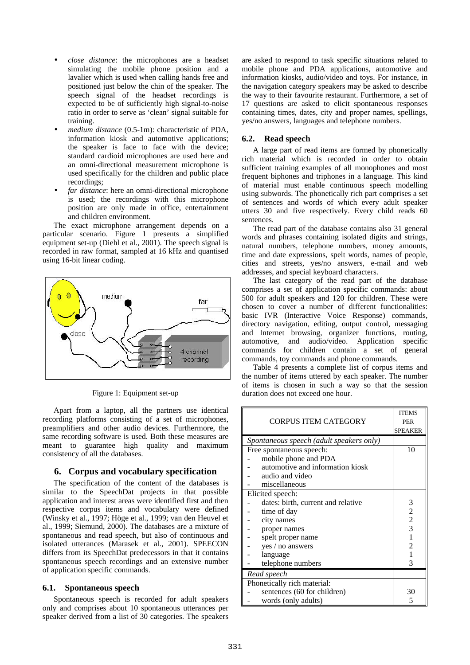- *close distance*: the microphones are a headset simulating the mobile phone position and a lavalier which is used when calling hands free and positioned just below the chin of the speaker. The speech signal of the headset recordings is expected to be of sufficiently high signal-to-noise ratio in order to serve as 'clean' signal suitable for training.
- *medium distance* (0.5-1m): characteristic of PDA, information kiosk and automotive applications; the speaker is face to face with the device; standard cardioid microphones are used here and an omni-directional measurement microphone is used specifically for the children and public place recordings;
- far distance: here an omni-directional microphone is used; the recordings with this microphone position are only made in office, entertainment and children environment.

The exact microphone arrangement depends on a particular scenario. Figure 1 presents a simplified equipment set-up (Diehl et al., 2001). The speech signal is recorded in raw format, sampled at 16 kHz and quantised using 16-bit linear coding.



Figure 1: Equipment set-up

Apart from a laptop, all the partners use identical recording platforms consisting of a set of microphones, preamplifiers and other audio devices. Furthermore, the same recording software is used. Both these measures are meant to guarantee high quality and maximum consistency of all the databases.

# **6. Corpus and vocabulary specification**

The specification of the content of the databases is similar to the SpeechDat projects in that possible application and interest areas were identified first and then respective corpus items and vocabulary were defined (Winsky et al., 1997; Höge et al., 1999; van den Heuvel et al., 1999; Siemund, 2000). The databases are a mixture of spontaneous and read speech, but also of continuous and isolated utterances (Marasek et al., 2001). SPEECON differs from its SpeechDat predecessors in that it contains spontaneous speech recordings and an extensive number of application specific commands.

# **6.1. Spontaneous speech**

Spontaneous speech is recorded for adult speakers only and comprises about 10 spontaneous utterances per speaker derived from a list of 30 categories. The speakers

are asked to respond to task specific situations related to mobile phone and PDA applications, automotive and information kiosks, audio/video and toys. For instance, in the navigation category speakers may be asked to describe the way to their favourite restaurant. Furthermore, a set of 17 questions are asked to elicit spontaneous responses containing times, dates, city and proper names, spellings, yes/no answers, languages and telephone numbers.

# **6.2. Read speech**

A large part of read items are formed by phonetically rich material which is recorded in order to obtain sufficient training examples of all monophones and most frequent biphones and triphones in a language. This kind of material must enable continuous speech modelling using subwords. The phonetically rich part comprises a set of sentences and words of which every adult speaker utters 30 and five respectively. Every child reads 60 sentences.

The read part of the database contains also 31 general words and phrases containing isolated digits and strings, natural numbers, telephone numbers, money amounts, time and date expressions, spelt words, names of people, cities and streets, yes/no answers, e-mail and web addresses, and special keyboard characters.

The last category of the read part of the database comprises a set of application specific commands: about 500 for adult speakers and 120 for children. These were chosen to cover a number of different functionalities: basic IVR (Interactive Voice Response) commands, directory navigation, editing, output control, messaging and Internet browsing, organizer functions, routing, automotive, and audio/video. Application specific commands for children contain a set of general commands, toy commands and phone commands.

Table 4 presents a complete list of corpus items and the number of items uttered by each speaker. The number of items is chosen in such a way so that the session duration does not exceed one hour.

|                                          |                                    | <b>ITEMS</b>                               |
|------------------------------------------|------------------------------------|--------------------------------------------|
|                                          | <b>CORPUS ITEM CATEGORY</b>        | <b>PER</b>                                 |
|                                          |                                    | <b>SPEAKER</b>                             |
| Spontaneous speech (adult speakers only) |                                    |                                            |
|                                          | Free spontaneous speech:           | 10                                         |
|                                          | mobile phone and PDA               |                                            |
|                                          | automotive and information kiosk   |                                            |
|                                          | audio and video                    |                                            |
|                                          | miscellaneous                      |                                            |
|                                          | Elicited speech:                   |                                            |
|                                          | dates: birth, current and relative | 3                                          |
|                                          | time of day                        |                                            |
|                                          | city names                         | $\begin{array}{c} 2 \\ 2 \\ 3 \end{array}$ |
|                                          | proper names                       |                                            |
|                                          | spelt proper name                  | 1                                          |
|                                          | yes / no answers                   | $\overline{c}$                             |
|                                          | language                           | $\mathbf{1}$                               |
|                                          | telephone numbers                  | 3                                          |
|                                          | Read speech                        |                                            |
|                                          | Phonetically rich material:        |                                            |
|                                          | sentences (60 for children)        | 30                                         |
|                                          | words (only adults)                | 5                                          |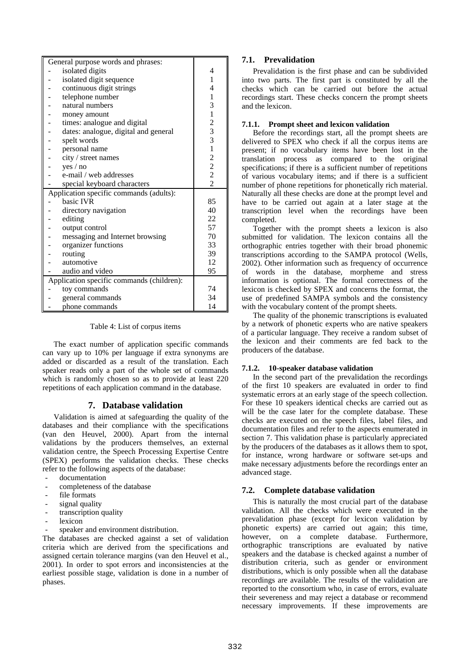|                                           | General purpose words and phrases:      |                                                 |
|-------------------------------------------|-----------------------------------------|-------------------------------------------------|
|                                           | isolated digits                         | 4                                               |
|                                           | isolated digit sequence                 | 1                                               |
|                                           | continuous digit strings                | 4                                               |
|                                           | telephone number                        | $\,1\,$                                         |
|                                           | natural numbers                         | 3                                               |
|                                           | money amount                            | $\mathbf{1}$                                    |
|                                           | times: analogue and digital             |                                                 |
|                                           | dates: analogue, digital and general    |                                                 |
|                                           | spelt words                             | $\begin{array}{c} 2 \\ 3 \\ 3 \\ 1 \end{array}$ |
|                                           | personal name                           |                                                 |
|                                           | city / street names                     |                                                 |
|                                           | yes / no                                | $\begin{array}{c} 2 \\ 2 \\ 2 \end{array}$      |
|                                           | e-mail / web addresses                  |                                                 |
|                                           | special keyboard characters             |                                                 |
|                                           | Application specific commands (adults): |                                                 |
|                                           | basic IVR                               | 85                                              |
|                                           | directory navigation                    | 40                                              |
|                                           | editing                                 | 22                                              |
|                                           | output control                          | 57                                              |
|                                           | messaging and Internet browsing         | 70                                              |
|                                           | organizer functions                     | 33                                              |
|                                           | routing                                 | 39                                              |
|                                           | automotive                              | 12                                              |
|                                           | audio and video                         | 95                                              |
| Application specific commands (children): |                                         |                                                 |
|                                           | toy commands                            | 74                                              |
|                                           | general commands                        | 34                                              |
|                                           | phone commands                          | 14                                              |

Table 4: List of corpus items

The exact number of application specific commands can vary up to 10% per language if extra synonyms are added or discarded as a result of the translation. Each speaker reads only a part of the whole set of commands which is randomly chosen so as to provide at least 220 repetitions of each application command in the database.

# **7. Database validation**

Validation is aimed at safeguarding the quality of the databases and their compliance with the specifications (van den Heuvel, 2000). Apart from the internal validations by the producers themselves, an external validation centre, the Speech Processing Expertise Centre (SPEX) performs the validation checks. These checks refer to the following aspects of the database:

- documentation
- completeness of the database
- file formats
- signal quality
- transcription quality
- lexicon
- speaker and environment distribution.

The databases are checked against a set of validation criteria which are derived from the specifications and assigned certain tolerance margins (van den Heuvel et al., 2001). In order to spot errors and inconsistencies at the earliest possible stage, validation is done in a number of phases.

#### **7.1. Prevalidation**

Prevalidation is the first phase and can be subdivided into two parts. The first part is constituted by all the checks which can be carried out before the actual recordings start. These checks concern the prompt sheets and the lexicon.

#### **7.1.1. Prompt sheet and lexicon validation**

Before the recordings start, all the prompt sheets are delivered to SPEX who check if all the corpus items are present; if no vocabulary items have been lost in the translation process as compared to the original specifications; if there is a sufficient number of repetitions of various vocabulary items; and if there is a sufficient number of phone repetitions for phonetically rich material. Naturally all these checks are done at the prompt level and have to be carried out again at a later stage at the transcription level when the recordings have been completed.

Together with the prompt sheets a lexicon is also submitted for validation. The lexicon contains all the orthographic entries together with their broad phonemic transcriptions according to the SAMPA protocol (Wells, 2002). Other information such as frequency of occurrence of words in the database, morpheme and stress information is optional. The formal correctness of the lexicon is checked by SPEX and concerns the format, the use of predefined SAMPA symbols and the consistency with the vocabulary content of the prompt sheets.

The quality of the phonemic transcriptions is evaluated by a network of phonetic experts who are native speakers of a particular language. They receive a random subset of the lexicon and their comments are fed back to the producers of the database.

#### **7.1.2. 10-speaker database validation**

In the second part of the prevalidation the recordings of the first 10 speakers are evaluated in order to find systematic errors at an early stage of the speech collection. For these 10 speakers identical checks are carried out as will be the case later for the complete database. These checks are executed on the speech files, label files, and documentation files and refer to the aspects enumerated in section 7. This validation phase is particularly appreciated by the producers of the databases as it allows them to spot, for instance, wrong hardware or software set-ups and make necessary adjustments before the recordings enter an advanced stage.

## **7.2. Complete database validation**

This is naturally the most crucial part of the database validation. All the checks which were executed in the prevalidation phase (except for lexicon validation by phonetic experts) are carried out again; this time, however, on a complete database. Furthermore, orthographic transcriptions are evaluated by native speakers and the database is checked against a number of distribution criteria, such as gender or environment distributions, which is only possible when all the database recordings are available. The results of the validation are reported to the consortium who, in case of errors, evaluate their severeness and may reject a database or recommend necessary improvements. If these improvements are